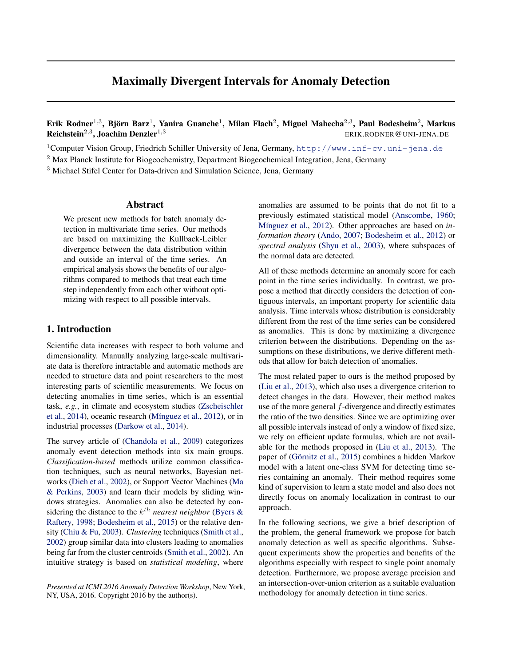# Maximally Divergent Intervals for Anomaly Detection

Erik Rodner<sup>1,3</sup>, Björn Barz<sup>1</sup>, Yanira Guanche<sup>1</sup>, Milan Flach<sup>2</sup>, Miguel Mahecha<sup>2,3</sup>, Paul Bodesheim<sup>2</sup>, Markus Reichstein<sup>2,3</sup>, Joachim Denzler<sup>1,3</sup> ERIK.RODNER@UNI-JENA.DE

<sup>1</sup>Computer Vision Group, Friedrich Schiller University of Jena, Germany, <http://www.inf-cv.uni-jena.de>

<sup>2</sup> Max Planck Institute for Biogeochemistry, Department Biogeochemical Integration, Jena, Germany

<sup>3</sup> Michael Stifel Center for Data-driven and Simulation Science, Jena, Germany

#### Abstract

We present new methods for batch anomaly detection in multivariate time series. Our methods are based on maximizing the Kullback-Leibler divergence between the data distribution within and outside an interval of the time series. An empirical analysis shows the benefits of our algorithms compared to methods that treat each time step independently from each other without optimizing with respect to all possible intervals.

# 1. Introduction

Scientific data increases with respect to both volume and dimensionality. Manually analyzing large-scale multivariate data is therefore intractable and automatic methods are needed to structure data and point researchers to the most interesting parts of scientific measurements. We focus on detecting anomalies in time series, which is an essential task, *e.g.*, in climate and ecosystem studies [\(Zscheischler](#page-4-0) [et al.,](#page-4-0) [2014\)](#page-4-0), oceanic research (Mínguez et al., [2012\)](#page-4-0), or in industrial processes [\(Darkow et al.,](#page-4-0) [2014\)](#page-4-0).

The survey article of [\(Chandola et al.,](#page-4-0) [2009\)](#page-4-0) categorizes anomaly event detection methods into six main groups. *Classification-based* methods utilize common classification techniques, such as neural networks, Bayesian networks [\(Dieh et al.,](#page-4-0) [2002\)](#page-4-0), or Support Vector Machines [\(Ma](#page-4-0) [& Perkins,](#page-4-0) [2003\)](#page-4-0) and learn their models by sliding windows strategies. Anomalies can also be detected by considering the distance to the  $k^{th}$  *nearest neighbor* [\(Byers &](#page-4-0) [Raftery,](#page-4-0) [1998;](#page-4-0) [Bodesheim et al.,](#page-4-0) [2015\)](#page-4-0) or the relative density [\(Chiu & Fu,](#page-4-0) [2003\)](#page-4-0). *Clustering* techniques [\(Smith et al.,](#page-4-0) [2002\)](#page-4-0) group similar data into clusters leading to anomalies being far from the cluster centroids [\(Smith et al.,](#page-4-0) [2002\)](#page-4-0). An intuitive strategy is based on *statistical modeling*, where

anomalies are assumed to be points that do not fit to a previously estimated statistical model [\(Anscombe,](#page-4-0) [1960;](#page-4-0) Mínguez et al., [2012\)](#page-4-0). Other approaches are based on *information theory* [\(Ando,](#page-4-0) [2007;](#page-4-0) [Bodesheim et al.,](#page-4-0) [2012\)](#page-4-0) or *spectral analysis* [\(Shyu et al.,](#page-4-0) [2003\)](#page-4-0), where subspaces of the normal data are detected.

All of these methods determine an anomaly score for each point in the time series individually. In contrast, we propose a method that directly considers the detection of contiguous intervals, an important property for scientific data analysis. Time intervals whose distribution is considerably different from the rest of the time series can be considered as anomalies. This is done by maximizing a divergence criterion between the distributions. Depending on the assumptions on these distributions, we derive different methods that allow for batch detection of anomalies.

The most related paper to ours is the method proposed by [\(Liu et al.,](#page-4-0) [2013\)](#page-4-0), which also uses a divergence criterion to detect changes in the data. However, their method makes use of the more general f-divergence and directly estimates the ratio of the two densities. Since we are optimizing over all possible intervals instead of only a window of fixed size, we rely on efficient update formulas, which are not available for the methods proposed in [\(Liu et al.,](#page-4-0) [2013\)](#page-4-0). The paper of (Görnitz et al., [2015\)](#page-4-0) combines a hidden Markov model with a latent one-class SVM for detecting time series containing an anomaly. Their method requires some kind of supervision to learn a state model and also does not directly focus on anomaly localization in contrast to our approach.

In the following sections, we give a brief description of the problem, the general framework we propose for batch anomaly detection as well as specific algorithms. Subsequent experiments show the properties and benefits of the algorithms especially with respect to single point anomaly detection. Furthermore, we propose average precision and an intersection-over-union criterion as a suitable evaluation methodology for anomaly detection in time series.

*Presented at ICML2016 Anomaly Detection Workshop*, New York, NY, USA, 2016. Copyright 2016 by the author(s).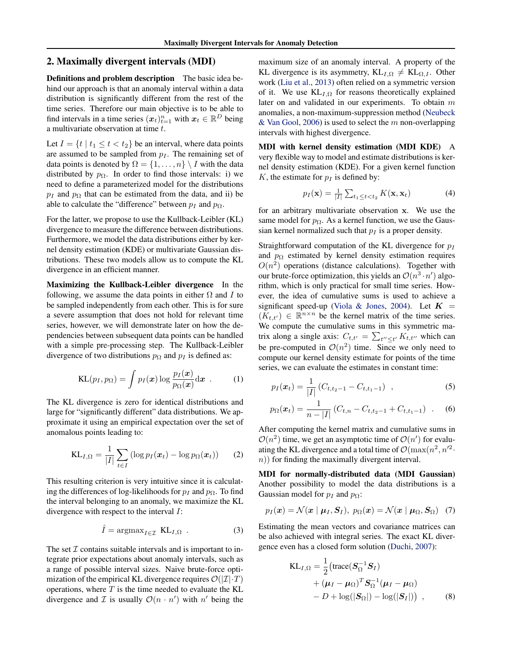#### <span id="page-1-0"></span>2. Maximally divergent intervals (MDI)

Definitions and problem description The basic idea behind our approach is that an anomaly interval within a data distribution is significantly different from the rest of the time series. Therefore our main objective is to be able to find intervals in a time series  $(x_t)_{t=1}^n$  with  $x_t \in \mathbb{R}^D$  being a multivariate observation at time t.

Let  $I = \{t \mid t_1 \le t < t_2\}$  be an interval, where data points are assumed to be sampled from  $p_I$ . The remaining set of data points is denoted by  $\Omega = \{1, \ldots, n\} \setminus I$  with the data distributed by  $p_{\Omega}$ . In order to find those intervals: i) we need to define a parameterized model for the distributions  $p_I$  and  $p_\Omega$  that can be estimated from the data, and ii) be able to calculate the "difference" between  $p_I$  and  $p_{\Omega}$ .

For the latter, we propose to use the Kullback-Leibler (KL) divergence to measure the difference between distributions. Furthermore, we model the data distributions either by kernel density estimation (KDE) or multivariate Gaussian distributions. These two models allow us to compute the KL divergence in an efficient manner.

Maximizing the Kullback-Leibler divergence In the following, we assume the data points in either  $\Omega$  and I to be sampled independently from each other. This is for sure a severe assumption that does not hold for relevant time series, however, we will demonstrate later on how the dependencies between subsequent data points can be handled with a simple pre-processing step. The Kullback-Leibler divergence of two distributions  $p_{\Omega}$  and  $p_I$  is defined as:

$$
KL(p_I, p_{\Omega}) = \int p_I(\boldsymbol{x}) \log \frac{p_I(\boldsymbol{x})}{p_{\Omega}(\boldsymbol{x})} d\boldsymbol{x} . \qquad (1)
$$

The KL divergence is zero for identical distributions and large for "significantly different" data distributions. We approximate it using an empirical expectation over the set of anomalous points leading to:

$$
KL_{I,\Omega} = \frac{1}{|I|} \sum_{t \in I} \left( \log p_I(\boldsymbol{x}_t) - \log p_\Omega(\boldsymbol{x}_t) \right) \qquad (2)
$$

This resulting criterion is very intuitive since it is calculating the differences of log-likelihoods for  $p_I$  and  $p_{\Omega}$ . To find the interval belonging to an anomaly, we maximize the KL divergence with respect to the interval I:

$$
\hat{I} = \operatorname{argmax}_{I \in \mathcal{I}} \ \operatorname{KL}_{I, \Omega} \ . \tag{3}
$$

The set  $\mathcal I$  contains suitable intervals and is important to integrate prior expectations about anomaly intervals, such as a range of possible interval sizes. Naive brute-force optimization of the empirical KL divergence requires  $\mathcal{O}(|\mathcal{I}|\cdot T)$ operations, where  $T$  is the time needed to evaluate the KL divergence and  $\mathcal I$  is usually  $\mathcal O(n \cdot n')$  with  $n'$  being the maximum size of an anomaly interval. A property of the KL divergence is its asymmetry,  $KL_{I,\Omega} \neq KL_{\Omega,I}$ . Other work [\(Liu et al.,](#page-4-0) [2013\)](#page-4-0) often relied on a symmetric version of it. We use  $KL_{I,\Omega}$  for reasons theoretically explained later on and validated in our experiments. To obtain  $m$ anomalies, a non-maximum-suppression method [\(Neubeck](#page-4-0) [& Van Gool,](#page-4-0) [2006\)](#page-4-0) is used to select the  $m$  non-overlapping intervals with highest divergence.

MDI with kernel density estimation (MDI KDE) A very flexible way to model and estimate distributions is kernel density estimation (KDE). For a given kernel function K, the estimate for  $p_I$  is defined by:

$$
p_I(\mathbf{x}) = \frac{1}{|I|} \sum_{t_1 \le t < t_2} K(\mathbf{x}, \mathbf{x}_t) \tag{4}
$$

for an arbitrary multivariate observation x. We use the same model for  $p_{\Omega}$ . As a kernel function, we use the Gaussian kernel normalized such that  $p_I$  is a proper density.

Straightforward computation of the KL divergence for  $p_I$ and  $p_{\Omega}$  estimated by kernel density estimation requires  $O(n^2)$  operations (distance calculations). Together with our brute-force optimization, this yields an  $\mathcal{O}(n^3 \cdot n')$  algorithm, which is only practical for small time series. However, the idea of cumulative sums is used to achieve a significant speed-up [\(Viola & Jones,](#page-4-0) [2004\)](#page-4-0). Let  $K =$  $(K_{t,t'}) \in \mathbb{R}^{n \times n}$  be the kernel matrix of the time series. We compute the cumulative sums in this symmetric matrix along a single axis:  $C_{t,t'} = \sum_{t'' \le t'} K_{t,t''}$  which can be pre-computed in  $\mathcal{O}(n^2)$  time. Since we only need to compute our kernel density estimate for points of the time series, we can evaluate the estimates in constant time:

$$
p_I(\boldsymbol{x}_t) = \frac{1}{|I|} \left( C_{t,t_2-1} - C_{t,t_1-1} \right) , \qquad (5)
$$

$$
p_{\Omega}(\boldsymbol{x}_t) = \frac{1}{n - |I|} \left( C_{t,n} - C_{t,t_2-1} + C_{t,t_1-1} \right) . \tag{6}
$$

After computing the kernel matrix and cumulative sums in  $\mathcal{O}(n^2)$  time, we get an asymptotic time of  $\mathcal{O}(n')$  for evaluating the KL divergence and a total time of  $\mathcal{O}(\max(n^2, n'^2))$ .  $n)$  for finding the maximally divergent interval.

MDI for normally-distributed data (MDI Gaussian) Another possibility to model the data distributions is a Gaussian model for  $p_I$  and  $p_{\Omega}$ :

$$
p_I(\boldsymbol{x}) = \mathcal{N}(\boldsymbol{x} \mid \boldsymbol{\mu}_I, \boldsymbol{S}_I), \ p_{\Omega}(\boldsymbol{x}) = \mathcal{N}(\boldsymbol{x} \mid \boldsymbol{\mu}_{\Omega}, \boldsymbol{S}_{\Omega}) \quad (7)
$$

Estimating the mean vectors and covariance matrices can be also achieved with integral series. The exact KL divergence even has a closed form solution [\(Duchi,](#page-4-0) [2007\)](#page-4-0):

$$
KL_{I,\Omega} = \frac{1}{2} \left( \text{trace} (\boldsymbol{S}_{\Omega}^{-1} \boldsymbol{S}_{I}) + (\boldsymbol{\mu}_{I} - \boldsymbol{\mu}_{\Omega})^{T} \boldsymbol{S}_{\Omega}^{-1} (\boldsymbol{\mu}_{I} - \boldsymbol{\mu}_{\Omega}) - D + \log(|\boldsymbol{S}_{\Omega}|) - \log(|\boldsymbol{S}_{I}|) \right) , \qquad (8)
$$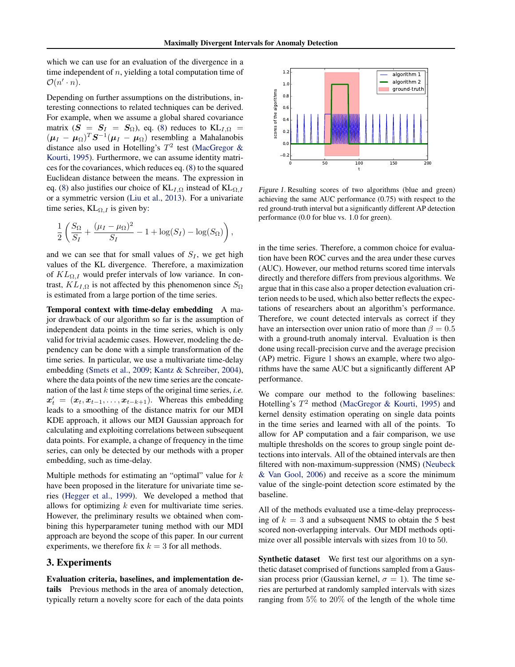which we can use for an evaluation of the divergence in a time independent of  $n$ , yielding a total computation time of  $\mathcal{O}(n' \cdot n).$ 

Depending on further assumptions on the distributions, interesting connections to related techniques can be derived. For example, when we assume a global shared covariance matrix  $(S = S_I = S_\Omega)$ , eq. [\(8\)](#page-1-0) reduces to  $KL_{I,\Omega}$  $(\mu_I - \mu_\Omega)^T S^{-1} (\mu_I - \mu_\Omega)$  resembling a Mahalanobis distance also used in Hotelling's  $T^2$  test [\(MacGregor &](#page-4-0) [Kourti,](#page-4-0) [1995\)](#page-4-0). Furthermore, we can assume identity matrices for the covariances, which reduces eq. [\(8\)](#page-1-0) to the squared Euclidean distance between the means. The expression in eq. [\(8\)](#page-1-0) also justifies our choice of  $KL_{I,\Omega}$  instead of  $KL_{\Omega,I}$ or a symmetric version [\(Liu et al.,](#page-4-0) [2013\)](#page-4-0). For a univariate time series,  $KL_{\Omega,I}$  is given by:

$$
\frac{1}{2}\left(\frac{S_{\Omega}}{S_{I}}+\frac{(\mu_{I}-\mu_{\Omega})^{2}}{S_{I}}-1+\log(S_{I})-\log(S_{\Omega})\right),\,
$$

and we can see that for small values of  $S_I$ , we get high values of the KL divergence. Therefore, a maximization of  $KL_{\Omega,I}$  would prefer intervals of low variance. In contrast,  $KL_{I,\Omega}$  is not affected by this phenomenon since  $S_{\Omega}$ is estimated from a large portion of the time series.

Temporal context with time-delay embedding A major drawback of our algorithm so far is the assumption of independent data points in the time series, which is only valid for trivial academic cases. However, modeling the dependency can be done with a simple transformation of the time series. In particular, we use a multivariate time-delay embedding [\(Smets et al.,](#page-4-0) [2009;](#page-4-0) [Kantz & Schreiber,](#page-4-0) [2004\)](#page-4-0), where the data points of the new time series are the concatenation of the last k time steps of the original time series, *i.e.*  $x'_{t} = (x_{t}, x_{t-1}, \ldots, x_{t-k+1})$ . Whereas this embedding leads to a smoothing of the distance matrix for our MDI KDE approach, it allows our MDI Gaussian approach for calculating and exploiting correlations between subsequent data points. For example, a change of frequency in the time series, can only be detected by our methods with a proper embedding, such as time-delay.

Multiple methods for estimating an "optimal" value for  $k$ have been proposed in the literature for univariate time series [\(Hegger et al.,](#page-4-0) [1999\)](#page-4-0). We developed a method that allows for optimizing  $k$  even for multivariate time series. However, the preliminary results we obtained when combining this hyperparameter tuning method with our MDI approach are beyond the scope of this paper. In our current experiments, we therefore fix  $k = 3$  for all methods.

## 3. Experiments

Evaluation criteria, baselines, and implementation details Previous methods in the area of anomaly detection, typically return a novelty score for each of the data points



Figure 1. Resulting scores of two algorithms (blue and green) achieving the same AUC performance (0.75) with respect to the red ground-truth interval but a significantly different AP detection performance (0.0 for blue vs. 1.0 for green).

in the time series. Therefore, a common choice for evaluation have been ROC curves and the area under these curves (AUC). However, our method returns scored time intervals directly and therefore differs from previous algorithms. We argue that in this case also a proper detection evaluation criterion needs to be used, which also better reflects the expectations of researchers about an algorithm's performance. Therefore, we count detected intervals as correct if they have an intersection over union ratio of more than  $\beta = 0.5$ with a ground-truth anomaly interval. Evaluation is then done using recall-precision curve and the average precision (AP) metric. Figure 1 shows an example, where two algorithms have the same AUC but a significantly different AP performance.

We compare our method to the following baselines: Hotelling's  $T^2$  method [\(MacGregor & Kourti,](#page-4-0) [1995\)](#page-4-0) and kernel density estimation operating on single data points in the time series and learned with all of the points. To allow for AP computation and a fair comparison, we use multiple thresholds on the scores to group single point detections into intervals. All of the obtained intervals are then filtered with non-maximum-suppression (NMS) [\(Neubeck](#page-4-0) [& Van Gool,](#page-4-0) [2006\)](#page-4-0) and receive as a score the minimum value of the single-point detection score estimated by the baseline.

All of the methods evaluated use a time-delay preprocessing of  $k = 3$  and a subsequent NMS to obtain the 5 best scored non-overlapping intervals. Our MDI methods optimize over all possible intervals with sizes from 10 to 50.

Synthetic dataset We first test our algorithms on a synthetic dataset comprised of functions sampled from a Gaussian process prior (Gaussian kernel,  $\sigma = 1$ ). The time series are perturbed at randomly sampled intervals with sizes ranging from 5% to 20% of the length of the whole time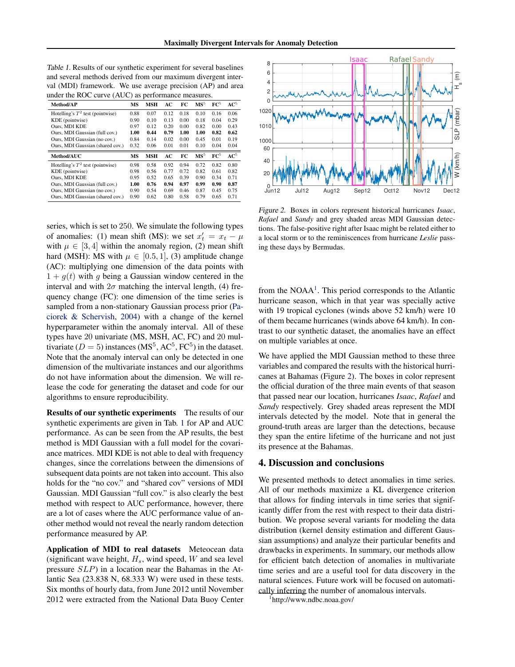| Table 1. Results of our synthetic experiment for several baselines |
|--------------------------------------------------------------------|
| and several methods derived from our maximum divergent inter-      |
| val (MDI) framework. We use average precision (AP) and area        |
| under the ROC curve (AUC) as performance measures.                 |

| Method/AP                          | MS   | <b>MSH</b> | AC   | FC   | MS <sup>5</sup> | $\mathbf{FC}^5$ | $\mathbf{AC}^5$ |
|------------------------------------|------|------------|------|------|-----------------|-----------------|-----------------|
| Hotelling's $T^2$ test (pointwise) | 0.88 | 0.07       | 0.12 | 0.18 | 0.10            | 0.16            | 0.06            |
| KDE (pointwise)                    | 0.90 | 0.10       | 0.13 | 0.00 | 0.18            | 0.04            | 0.29            |
| Ours. MDI KDE                      | 0.97 | 0.12       | 0.20 | 0.00 | 0.82            | 0.00            | 0.43            |
| Ours, MDI Gaussian (full cov.)     | 1.00 | 0.44       | 0.79 | 1.00 | 1.00            | 0.82            | 0.62            |
| Ours. MDI Gaussian (no cov.)       | 0.84 | 0.14       | 0.02 | 0.00 | 0.45            | 0.01            | 0.19            |
| Ours, MDI Gaussian (shared cov.)   | 0.32 | 0.06       | 0.01 | 0.01 | 0.10            | 0.04            | 0.04            |
|                                    |      |            |      |      |                 |                 |                 |
| Method/AUC                         | MS   | <b>MSH</b> | AC   | FC   | MS <sup>5</sup> | $\mathbf{FC}^5$ | $\rm AC^5$      |
| Hotelling's $T^2$ test (pointwise) | 0.98 | 0.58       | 0.92 | 0.94 | 0.72            | 0.82            | 0.80            |
| KDE (pointwise)                    | 0.98 | 0.56       | 0.77 | 0.72 | 0.82            | 0.61            | 0.82            |
| Ours. MDI KDE                      | 0.95 | 0.52       | 0.65 | 0.39 | 0.90            | 0.34            | 0.71            |
| Ours, MDI Gaussian (full cov.)     | 1.00 | 0.76       | 0.94 | 0.97 | 0.99            | 0.90            | 0.87            |
| Ours, MDI Gaussian (no cov.)       | 0.90 | 0.54       | 0.69 | 0.46 | 0.87            | 0.45            | 0.75            |

series, which is set to 250. We simulate the following types of anomalies: (1) mean shift (MS): we set  $x'_t = x_t - \mu$ with  $\mu \in [3, 4]$  within the anomaly region, (2) mean shift hard (MSH): MS with  $\mu \in [0.5, 1]$ , (3) amplitude change (AC): multiplying one dimension of the data points with  $1 + g(t)$  with g being a Gaussian window centered in the interval and with  $2\sigma$  matching the interval length, (4) frequency change (FC): one dimension of the time series is sampled from a non-stationary Gaussian process prior [\(Pa](#page-4-0)[ciorek & Schervish,](#page-4-0) [2004\)](#page-4-0) with a change of the kernel hyperparameter within the anomaly interval. All of these types have 20 univariate (MS, MSH, AC, FC) and 20 multivariate ( $D = 5$ ) instances (MS<sup>5</sup>, AC<sup>5</sup>, FC<sup>5</sup>) in the dataset. Note that the anomaly interval can only be detected in one dimension of the multivariate instances and our algorithms do not have information about the dimension. We will release the code for generating the dataset and code for our algorithms to ensure reproducibility.

Results of our synthetic experiments The results of our synthetic experiments are given in Tab. 1 for AP and AUC performance. As can be seen from the AP results, the best method is MDI Gaussian with a full model for the covariance matrices. MDI KDE is not able to deal with frequency changes, since the correlations between the dimensions of subsequent data points are not taken into account. This also holds for the "no cov." and "shared cov" versions of MDI Gaussian. MDI Gaussian "full cov." is also clearly the best method with respect to AUC performance, however, there are a lot of cases where the AUC performance value of another method would not reveal the nearly random detection performance measured by AP.

Application of MDI to real datasets Meteocean data (significant wave height,  $H_s$ , wind speed, W and sea level pressure SLP) in a location near the Bahamas in the Atlantic Sea (23.838 N, 68.333 W) were used in these tests. Six months of hourly data, from June 2012 until November 2012 were extracted from the National Data Buoy Center



Figure 2. Boxes in colors represent historical hurricanes *Isaac*, *Rafael* and *Sandy* and grey shaded areas MDI Gaussian detections. The false-positive right after Isaac might be related either to a local storm or to the reminiscences from hurricane *Leslie* passing these days by Bermudas.

from the NOAA<sup>1</sup>. This period corresponds to the Atlantic hurricane season, which in that year was specially active with 19 tropical cyclones (winds above 52 km/h) were 10 of them became hurricanes (winds above 64 km/h). In contrast to our synthetic dataset, the anomalies have an effect on multiple variables at once.

We have applied the MDI Gaussian method to these three variables and compared the results with the historical hurricanes at Bahamas (Figure 2). The boxes in color represent the official duration of the three main events of that season that passed near our location, hurricanes *Isaac*, *Rafael* and *Sandy* respectively. Grey shaded areas represent the MDI intervals detected by the model. Note that in general the ground-truth areas are larger than the detections, because they span the entire lifetime of the hurricane and not just its presence at the Bahamas.

### 4. Discussion and conclusions

We presented methods to detect anomalies in time series. All of our methods maximize a KL divergence criterion that allows for finding intervals in time series that significantly differ from the rest with respect to their data distribution. We propose several variants for modeling the data distribution (kernel density estimation and different Gaussian assumptions) and analyze their particular benefits and drawbacks in experiments. In summary, our methods allow for efficient batch detection of anomalies in multivariate time series and are a useful tool for data discovery in the natural sciences. Future work will be focused on automatically inferring the number of anomalous intervals.

1 http://www.ndbc.noaa.gov/